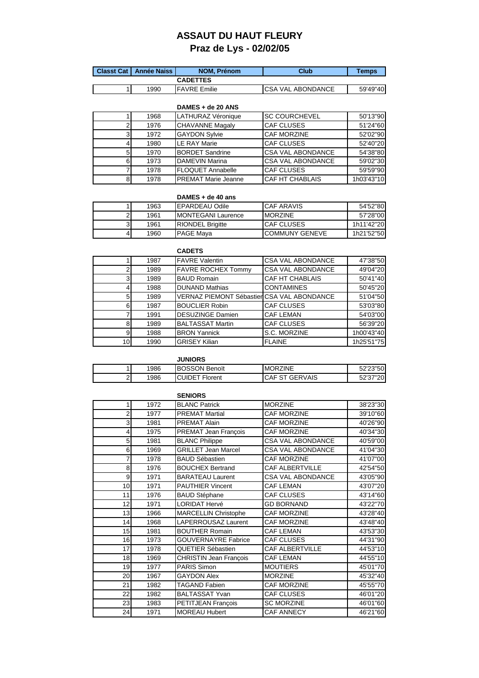### **ASSAUT DU HAUT FLEURY Praz de Lys - 02/02/05**

|  | <b>Classt Cat   Année Naiss  </b> | <b>NOM. Prénom</b>   | Club                      | Temps    |
|--|-----------------------------------|----------------------|---------------------------|----------|
|  |                                   | <b>CADETTES</b>      |                           |          |
|  | 1990                              | <b>IFAVRE</b> Emilie | <b>ICSA VAL ABONDANCE</b> | 59'49"40 |

### **DAMES + de 20 ANS**

| 1968 | LATHURAZ Véronique         | <b>SC COURCHEVEL</b>     | 50'13"90   |
|------|----------------------------|--------------------------|------------|
| 1976 | <b>CHAVANNE Magaly</b>     | <b>CAF CLUSES</b>        | 51'24"60   |
| 1972 | <b>GAYDON Sylvie</b>       | <b>CAF MORZINE</b>       | 52'02"90   |
| 1980 | <b>LE RAY Marie</b>        | <b>CAF CLUSES</b>        | 52'40"20   |
| 1970 | <b>BORDET Sandrine</b>     | <b>CSA VAL ABONDANCE</b> | 54'38"80   |
| 1973 | DAMEVIN Marina             | <b>CSA VAL ABONDANCE</b> | 59'02"30   |
| 1978 | <b>FLOQUET Annabelle</b>   | <b>CAF CLUSES</b>        | 59'59"90   |
| 1978 | <b>PREMAT Marie Jeanne</b> | <b>CAF HT CHABLAIS</b>   | 1h03'43"10 |

#### **DAMES + de 40 ans**

| 1963 | <b>IEPARDEAU Odile</b>     | CAF ARAVIS             | 54'52"80   |
|------|----------------------------|------------------------|------------|
| 1961 | <b>IMONTEGANI Laurence</b> | <b>MORZINE</b>         | 57'28"00   |
| 1961 | <b>RIONDEL Brigitte</b>    | <b>CAF CLUSES</b>      | 1h11'42"20 |
| 1960 | <b>PAGE Mava</b>           | <b>ICOMMUNY GENEVE</b> | 1h21'52"50 |

|    |      | <b>CADETS</b>                              |                          |            |
|----|------|--------------------------------------------|--------------------------|------------|
|    | 1987 | <b>FAVRE Valentin</b>                      | <b>CSA VAL ABONDANCE</b> | 47'38"50   |
|    | 1989 | <b>FAVRE ROCHEX Tommy</b>                  | <b>CSA VAL ABONDANCE</b> | 49'04"20   |
|    | 1989 | <b>BAUD Romain</b>                         | <b>CAF HT CHABLAIS</b>   | 50'41"40   |
|    | 1988 | <b>DUNAND Mathias</b>                      | <b>CONTAMINES</b>        | 50'45"20   |
|    | 1989 | VERNAZ PIEMONT Sébastier CSA VAL ABONDANCE |                          | 51'04"50   |
| 6  | 1987 | <b>BOUCLIER Robin</b>                      | <b>CAF CLUSES</b>        | 53'03"80   |
|    | 1991 | <b>DESUZINGE Damien</b>                    | <b>CAF LEMAN</b>         | 54'03"00   |
| 8  | 1989 | <b>BALTASSAT Martin</b>                    | <b>CAF CLUSES</b>        | 56'39"20   |
| 9  | 1988 | <b>BRON Yannick</b>                        | S.C. MORZINE             | 1h00'43"40 |
| 10 | 1990 | <b>GRISEY Kilian</b>                       | <b>FLAINE</b>            | 1h25'51"75 |

|                |      | <b>JUNIORS</b>        |                 |          |
|----------------|------|-----------------------|-----------------|----------|
|                | 1986 | <b>BOSSON Benoit</b>  | <b>MORZINE</b>  | 52'23"50 |
| $\overline{2}$ | 1986 | <b>CUIDET Florent</b> | ICAF ST GERVAIS | 52'37"20 |

|                |      | <b>SENIORS</b>                |                          |          |
|----------------|------|-------------------------------|--------------------------|----------|
| 1              | 1972 | <b>BLANC Patrick</b>          | <b>MORZINE</b>           | 38'23"30 |
| $\overline{2}$ | 1977 | <b>PREMAT Martial</b>         | CAF MORZINE              | 39'10"60 |
| 3              | 1981 | <b>PREMAT Alain</b>           | CAF MORZINE              | 40'26"90 |
| 4              | 1975 | PREMAT Jean François          | CAF MORZINE              | 40'34"30 |
| 5              | 1981 | <b>BLANC Philippe</b>         | <b>CSA VAL ABONDANCE</b> | 40'59"00 |
| 6              | 1969 | <b>GRILLET Jean Marcel</b>    | CSA VAL ABONDANCE        | 41'04"30 |
| 7              | 1978 | <b>BAUD Sébastien</b>         | <b>CAF MORZINE</b>       | 41'07"00 |
| 8              | 1976 | <b>BOUCHEX Bertrand</b>       | <b>CAF ALBERTVILLE</b>   | 42'54"50 |
| 9              | 1971 | <b>BARATEAU Laurent</b>       | <b>CSA VAL ABONDANCE</b> | 43'05"90 |
| 10             | 1971 | <b>PAUTHIER Vincent</b>       | <b>CAF LEMAN</b>         | 43'07"20 |
| 11             | 1976 | <b>BAUD Stéphane</b>          | CAF CLUSES               | 43'14"60 |
| 12             | 1971 | <b>LORIDAT Hervé</b>          | <b>GD BORNAND</b>        | 43'22"70 |
| 13             | 1966 | <b>MARCELLIN</b> Christophe   | <b>CAF MORZINE</b>       | 43'28"40 |
| 14             | 1968 | LAPERROUSAZ Laurent           | CAF MORZINE              | 43'48"40 |
| 15             | 1981 | <b>BOUTHER Romain</b>         | CAF LEMAN                | 43'53"30 |
| 16             | 1973 | <b>GOUVERNAYRE Fabrice</b>    | <b>CAF CLUSES</b>        | 44'31"90 |
| 17             | 1978 | QUETIER Sébastien             | <b>CAF ALBERTVILLE</b>   | 44'53"10 |
| 18             | 1969 | <b>CHRISTIN Jean François</b> | <b>CAF LEMAN</b>         | 44'55"10 |
| 19             | 1977 | <b>PARIS Simon</b>            | <b>MOUTIERS</b>          | 45'01"70 |
| 20             | 1967 | <b>GAYDON Alex</b>            | <b>MORZINE</b>           | 45'32"40 |
| 21             | 1982 | TAGAND Fabien                 | CAF MORZINE              | 45'55"70 |
| 22             | 1982 | <b>BALTASSAT Yvan</b>         | CAF CLUSES               | 46'01"20 |
| 23             | 1983 | PETITJEAN François            | <b>SC MORZINE</b>        | 46'01"60 |
| 24             | 1971 | <b>MOREAU Hubert</b>          | CAF ANNECY               | 46'21"60 |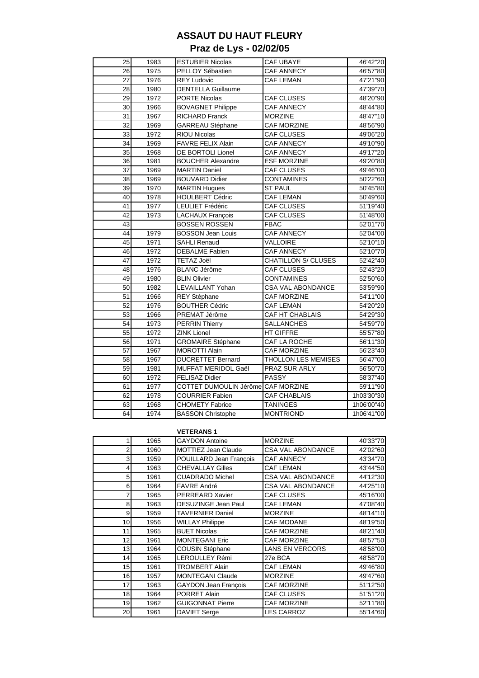# **ASSAUT DU HAUT FLEURY Praz de Lys - 02/02/05**

| 25 | 1983 | <b>ESTUBIER Nicolas</b>            | <b>CAF UBAYE</b>           | 46'42"20   |
|----|------|------------------------------------|----------------------------|------------|
| 26 | 1975 | PELLOY Sébastien                   | <b>CAF ANNECY</b>          | 46'57"80   |
| 27 | 1976 | <b>REY Ludovic</b>                 | <b>CAF LEMAN</b>           | 47'21"90   |
| 28 | 1980 | <b>DENTELLA Guillaume</b>          |                            | 47'39"70   |
| 29 | 1972 | <b>PORTE Nicolas</b>               | CAF CLUSES                 | 48'20"90   |
| 30 | 1966 | <b>BOVAGNET Philippe</b>           | <b>CAF ANNECY</b>          | 48'44"80   |
| 31 | 1967 | <b>RICHARD Franck</b>              | <b>MORZINE</b>             | 48'47"10   |
| 32 | 1969 | GARREAU Stéphane                   | CAF MORZINE                | 48'56"90   |
| 33 | 1972 | <b>RIOU Nicolas</b>                | CAF CLUSES                 | 49'06"20   |
| 34 | 1969 | <b>FAVRE FELIX Alain</b>           | <b>CAF ANNECY</b>          | 49'10"90   |
| 35 | 1968 | DE BORTOLI Lionel                  | <b>CAF ANNECY</b>          | 49'17"20   |
| 36 | 1981 | <b>BOUCHER Alexandre</b>           | <b>ESF MORZINE</b>         | 49'20"80   |
| 37 | 1969 | <b>MARTIN Daniel</b>               | CAF CLUSES                 | 49'46"00   |
| 38 | 1969 | <b>BOUVARD Didier</b>              | <b>CONTAMINES</b>          | 50'22"60   |
| 39 | 1970 | MARTIN Hugues                      | <b>ST PAUL</b>             | 50'45"80   |
| 40 | 1978 | HOULBERT Cédric                    | <b>CAF LEMAN</b>           | 50'49"60   |
| 41 | 1977 | LEULIET Frédéric                   | <b>CAF CLUSES</b>          | 51'19"40   |
| 42 | 1973 | <b>LACHAUX François</b>            | <b>CAF CLUSES</b>          | 51'48"00   |
| 43 |      | <b>BOSSEN ROSSEN</b>               | <b>FBAC</b>                | 52'01"70   |
| 44 | 1979 | <b>BOSSON Jean Louis</b>           | <b>CAF ANNECY</b>          | 52'04"00   |
| 45 | 1971 | <b>SAHLI Renaud</b>                | <b>VALLOIRE</b>            | 52'10"10   |
| 46 | 1972 | <b>DEBALME</b> Fabien              | <b>CAF ANNECY</b>          | 52'10"70   |
| 47 | 1972 | TETAZ Joël                         | <b>CHATILLON S/ CLUSES</b> | 52'42"40   |
| 48 | 1976 | <b>BLANC Jérôme</b>                | CAF CLUSES                 | 52'43"20   |
| 49 | 1980 | <b>BLIN Olivier</b>                | <b>CONTAMINES</b>          | 52'50"60   |
| 50 | 1982 | LEVAILLANT Yohan                   | <b>CSA VAL ABONDANCE</b>   | 53'59"90   |
| 51 | 1966 | REY Stéphane                       | CAF MORZINE                | 54'11"00   |
| 52 | 1976 | <b>BOUTHER Cédric</b>              | <b>CAF LEMAN</b>           | 54'20"20   |
| 53 | 1966 | PREMAT Jérôme                      | CAF HT CHABLAIS            | 54'29"30   |
| 54 | 1973 | <b>PERRIN Thierry</b>              | <b>SALLANCHES</b>          | 54'59"70   |
| 55 | 1972 | <b>ZINK Lionel</b>                 | HT GIFFRE                  | 55'57"80   |
| 56 | 1971 | <b>GROMAIRE Stéphane</b>           | CAF LA ROCHE               | 56'11"30   |
| 57 | 1967 | <b>MOROTTI Alain</b>               | CAF MORZINE                | 56'23"40   |
| 58 | 1967 | <b>DUCRETTET Bernard</b>           | <b>THOLLON LES MEMISES</b> | 56'47"00   |
| 59 | 1981 | <b>MUFFAT MERIDOL Gaël</b>         | PRAZ SUR ARLY              | 56'50"70   |
| 60 | 1972 | <b>FELISAZ Didier</b>              | <b>PASSY</b>               | 58'37"40   |
| 61 | 1977 | COTTET DUMOULIN Jérôme CAF MORZINE |                            | 59'11"90   |
| 62 | 1978 | <b>COURRIER Fabien</b>             | <b>CAF CHABLAIS</b>        | 1h03'30"30 |
| 63 | 1968 | <b>CHOMETY Fabrice</b>             | <b>TANINGES</b>            | 1h06'00"40 |
| 64 | 1974 | <b>BASSON Christophe</b>           | <b>MONTRIOND</b>           | 1h06'41"00 |
|    |      |                                    |                            |            |

### **VETERANS 1**

|    | 1965 | <b>GAYDON Antoine</b>       | <b>MORZINE</b>           | 40'33"70 |  |  |
|----|------|-----------------------------|--------------------------|----------|--|--|
| 2  | 1960 | MOTTIEZ Jean Claude         | <b>CSA VAL ABONDANCE</b> | 42'02"60 |  |  |
| 3  | 1959 | POUILLARD Jean François     | CAF ANNECY               | 43'34"70 |  |  |
| 4  | 1963 | <b>CHEVALLAY Gilles</b>     | <b>CAF LEMAN</b>         | 43'44"50 |  |  |
| 5  | 1961 | <b>CUADRADO Michel</b>      | <b>CSA VAL ABONDANCE</b> | 44'12"30 |  |  |
| 6  | 1964 | <b>FAVRE André</b>          | <b>CSA VAL ABONDANCE</b> | 44'25"10 |  |  |
|    | 1965 | <b>PERREARD Xavier</b>      | <b>CAF CLUSES</b>        | 45'16"00 |  |  |
| 8  | 1963 | DESUZINGE Jean Paul         | <b>CAF LEMAN</b>         | 47'08"40 |  |  |
| 9  | 1959 | <b>TAVERNIER Daniel</b>     | <b>MORZINE</b>           | 48'14"10 |  |  |
| 10 | 1956 | <b>WILLAY Philippe</b>      | <b>CAF MODANE</b>        | 48'19"50 |  |  |
| 11 | 1965 | <b>BUET Nicolas</b>         | <b>CAF MORZINE</b>       | 48'21"40 |  |  |
| 12 | 1961 | <b>MONTEGANI Eric</b>       | <b>CAF MORZINE</b>       | 48'57"50 |  |  |
| 13 | 1964 | <b>COUSIN Stéphane</b>      | <b>LANS EN VERCORS</b>   | 48'58"00 |  |  |
| 14 | 1965 | <b>LEROULLEY Rémi</b>       | 27e BCA                  | 48'58"70 |  |  |
| 15 | 1961 | <b>TROMBERT Alain</b>       | <b>CAF LEMAN</b>         | 49'46"80 |  |  |
| 16 | 1957 | <b>MONTEGANI Claude</b>     | <b>MORZINE</b>           | 49'47"60 |  |  |
| 17 | 1963 | <b>GAYDON Jean Francois</b> | <b>CAF MORZINE</b>       | 51'12"50 |  |  |
| 18 | 1964 | <b>PORRET Alain</b>         | <b>CAF CLUSES</b>        | 51'51"20 |  |  |
| 19 | 1962 | <b>GUIGONNAT Pierre</b>     | CAF MORZINE              | 52'11"80 |  |  |
| 20 | 1961 | <b>DAVIET Serge</b>         | <b>LES CARROZ</b>        | 55'14"60 |  |  |
|    |      |                             |                          |          |  |  |